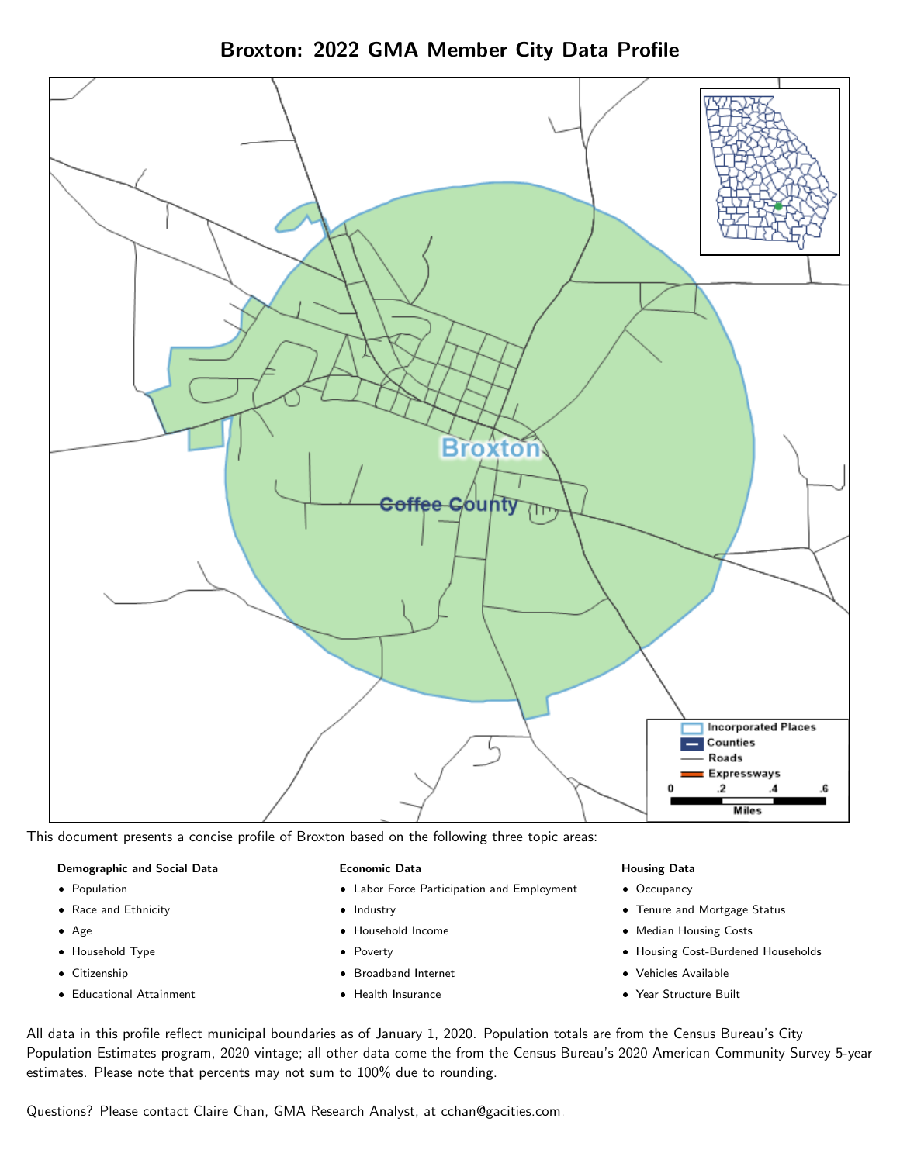Broxton: 2022 GMA Member City Data Profile



This document presents a concise profile of Broxton based on the following three topic areas:

### Demographic and Social Data

- **•** Population
- Race and Ethnicity
- Age
- Household Type
- **Citizenship**
- Educational Attainment

### Economic Data

- Labor Force Participation and Employment
- Industry
- Household Income
- Poverty
- Broadband Internet
- Health Insurance

### Housing Data

- Occupancy
- Tenure and Mortgage Status
- Median Housing Costs
- Housing Cost-Burdened Households
- Vehicles Available
- Year Structure Built

All data in this profile reflect municipal boundaries as of January 1, 2020. Population totals are from the Census Bureau's City Population Estimates program, 2020 vintage; all other data come the from the Census Bureau's 2020 American Community Survey 5-year estimates. Please note that percents may not sum to 100% due to rounding.

Questions? Please contact Claire Chan, GMA Research Analyst, at [cchan@gacities.com.](mailto:cchan@gacities.com)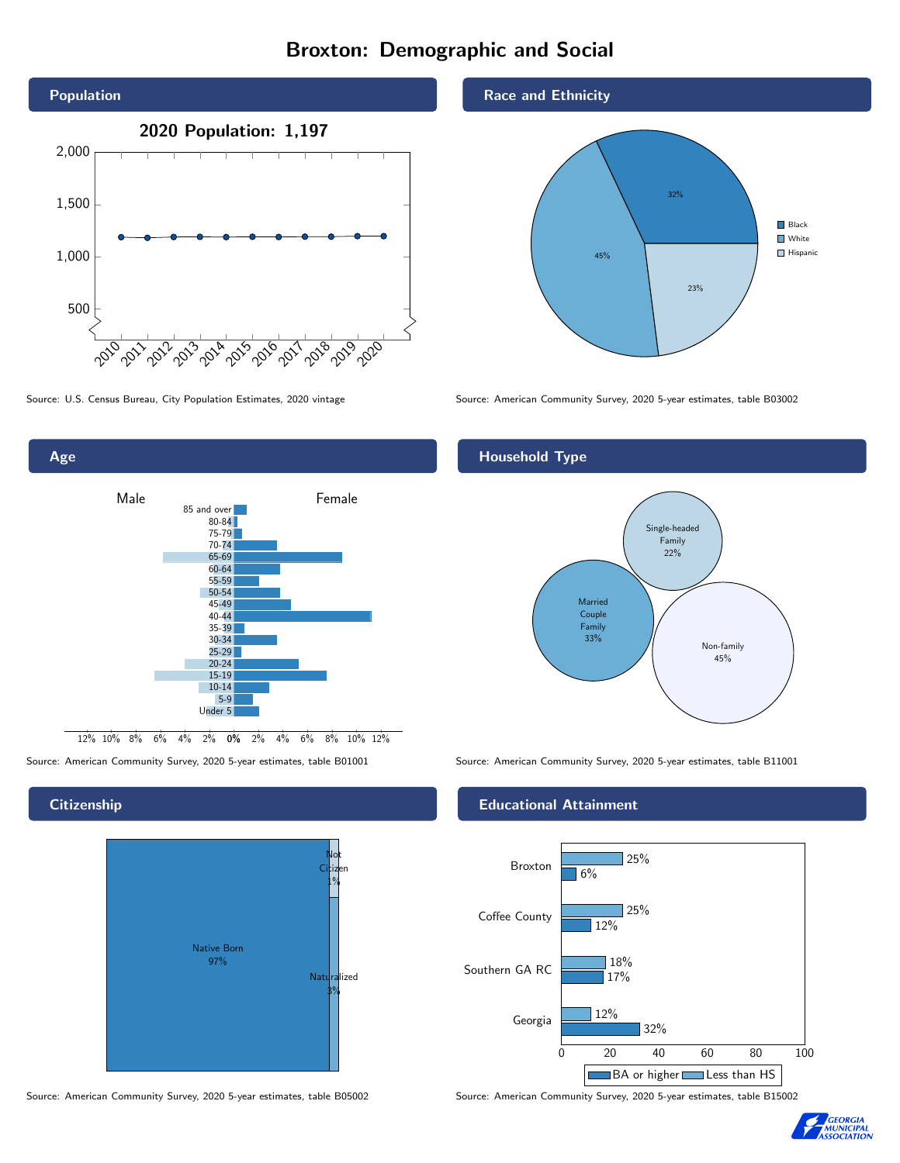# Broxton: Demographic and Social





## **Citizenship**



Source: American Community Survey, 2020 5-year estimates, table B05002 Source: American Community Survey, 2020 5-year estimates, table B15002

## Race and Ethnicity



Source: U.S. Census Bureau, City Population Estimates, 2020 vintage Source: American Community Survey, 2020 5-year estimates, table B03002

# Household Type



Source: American Community Survey, 2020 5-year estimates, table B01001 Source: American Community Survey, 2020 5-year estimates, table B11001

## Educational Attainment



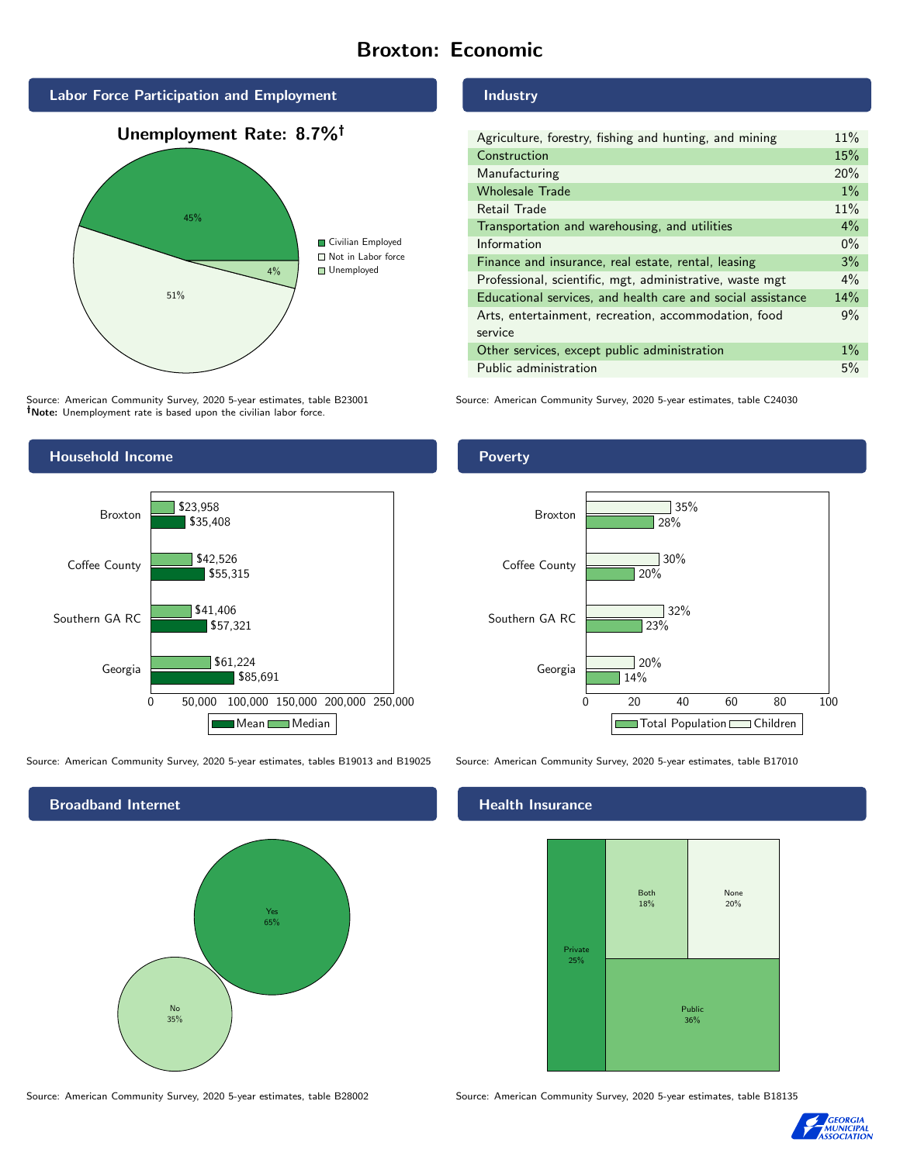# Broxton: Economic



Source: American Community Survey, 2020 5-year estimates, table B23001 Note: Unemployment rate is based upon the civilian labor force.

## Industry

| Agriculture, forestry, fishing and hunting, and mining      | 11%   |
|-------------------------------------------------------------|-------|
| Construction                                                | 15%   |
| Manufacturing                                               | 20%   |
| <b>Wholesale Trade</b>                                      | $1\%$ |
| Retail Trade                                                | 11%   |
| Transportation and warehousing, and utilities               | $4\%$ |
| Information                                                 | $0\%$ |
| Finance and insurance, real estate, rental, leasing         | 3%    |
| Professional, scientific, mgt, administrative, waste mgt    | $4\%$ |
| Educational services, and health care and social assistance | 14%   |
| Arts, entertainment, recreation, accommodation, food        | 9%    |
| service                                                     |       |
| Other services, except public administration                | $1\%$ |
| Public administration                                       | 5%    |

Source: American Community Survey, 2020 5-year estimates, table C24030



Source: American Community Survey, 2020 5-year estimates, tables B19013 and B19025 Source: American Community Survey, 2020 5-year estimates, table B17010



Poverty



# **Health Insurance**



Source: American Community Survey, 2020 5-year estimates, table B28002 Source: American Community Survey, 2020 5-year estimates, table B18135